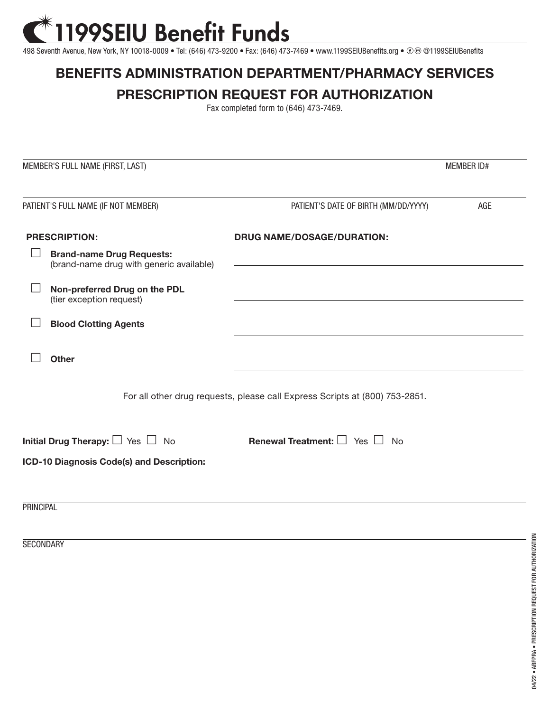## 199SEIU Benefit Funds

498 Seventh Avenue, New York, NY 10018-0009 • Tel: (646) 473-9200 • Fax: (646) 473-7469 • www.1199SEIUBenefits.org • ⊕ @ @1199SEIUBenefits

## **BENEFITS ADMINISTRATION DEPARTMENT/PHARMACY SERVICES**

## **PRESCRIPTION REQUEST FOR AUTHORIZATION**

Fax completed form to (646) 473-7469.

|                                                                             | MEMBER'S FULL NAME (FIRST, LAST)                                             |                                                | <b>MEMBER ID#</b> |  |
|-----------------------------------------------------------------------------|------------------------------------------------------------------------------|------------------------------------------------|-------------------|--|
| PATIENT'S FULL NAME (IF NOT MEMBER)                                         |                                                                              | PATIENT'S DATE OF BIRTH (MM/DD/YYYY)           | AGE               |  |
| <b>PRESCRIPTION:</b>                                                        |                                                                              | <b>DRUG NAME/DOSAGE/DURATION:</b>              |                   |  |
|                                                                             | <b>Brand-name Drug Requests:</b><br>(brand-name drug with generic available) |                                                |                   |  |
|                                                                             | Non-preferred Drug on the PDL<br>(tier exception request)                    |                                                |                   |  |
|                                                                             | <b>Blood Clotting Agents</b>                                                 |                                                |                   |  |
|                                                                             | <b>Other</b>                                                                 |                                                |                   |  |
| For all other drug requests, please call Express Scripts at (800) 753-2851. |                                                                              |                                                |                   |  |
|                                                                             | Initial Drug Therapy: $\Box$ Yes $\Box$ No                                   | <b>Renewal Treatment:</b> $\Box$ Yes $\Box$ No |                   |  |
| ICD-10 Diagnosis Code(s) and Description:                                   |                                                                              |                                                |                   |  |
|                                                                             |                                                                              |                                                |                   |  |
| <b>PRINCIPAL</b>                                                            |                                                                              |                                                |                   |  |

**SECONDARY**